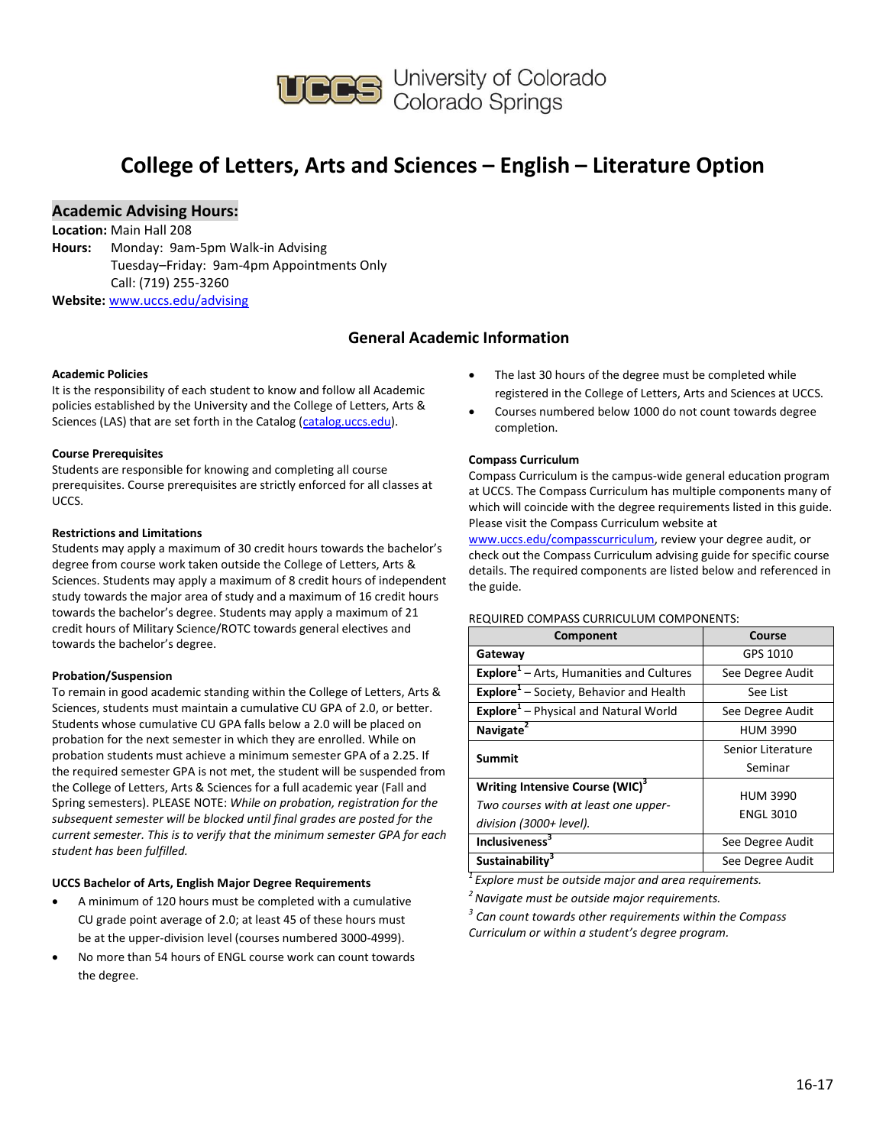

## **College of Letters, Arts and Sciences – English – Literature Option**

## **Academic Advising Hours:**

**Location:** Main Hall 208

**Hours:** Monday: 9am-5pm Walk-in Advising Tuesday–Friday: 9am-4pm Appointments Only Call: (719) 255-3260 **Website:** [www.uccs.edu/advising](http://www.uccs.edu/advising)

## **General Academic Information**

#### **Academic Policies**

It is the responsibility of each student to know and follow all Academic policies established by the University and the College of Letters, Arts & Sciences (LAS) that are set forth in the Catalog [\(catalog.uccs.edu\)](http://catalog.uccs.edu/).

#### **Course Prerequisites**

Students are responsible for knowing and completing all course prerequisites. Course prerequisites are strictly enforced for all classes at UCCS.

### **Restrictions and Limitations**

Students may apply a maximum of 30 credit hours towards the bachelor's degree from course work taken outside the College of Letters, Arts & Sciences. Students may apply a maximum of 8 credit hours of independent study towards the major area of study and a maximum of 16 credit hours towards the bachelor's degree. Students may apply a maximum of 21 credit hours of Military Science/ROTC towards general electives and towards the bachelor's degree.

#### **Probation/Suspension**

To remain in good academic standing within the College of Letters, Arts & Sciences, students must maintain a cumulative CU GPA of 2.0, or better. Students whose cumulative CU GPA falls below a 2.0 will be placed on probation for the next semester in which they are enrolled. While on probation students must achieve a minimum semester GPA of a 2.25. If the required semester GPA is not met, the student will be suspended from the College of Letters, Arts & Sciences for a full academic year (Fall and Spring semesters). PLEASE NOTE: *While on probation, registration for the subsequent semester will be blocked until final grades are posted for the current semester. This is to verify that the minimum semester GPA for each student has been fulfilled.*

#### **UCCS Bachelor of Arts, English Major Degree Requirements**

- A minimum of 120 hours must be completed with a cumulative CU grade point average of 2.0; at least 45 of these hours must be at the upper-division level (courses numbered 3000-4999).
- No more than 54 hours of ENGL course work can count towards the degree.
- The last 30 hours of the degree must be completed while registered in the College of Letters, Arts and Sciences at UCCS.
- Courses numbered below 1000 do not count towards degree completion.

#### **Compass Curriculum**

Compass Curriculum is the campus-wide general education program at UCCS. The Compass Curriculum has multiple components many of which will coincide with the degree requirements listed in this guide. Please visit the Compass Curriculum website at

[www.uccs.edu/compasscurriculum,](http://www.uccs.edu/compasscurriculum) review your degree audit, or check out the Compass Curriculum advising guide for specific course details. The required components are listed below and referenced in the guide.

#### REQUIRED COMPASS CURRICULUM COMPONENTS:

| Component                                                   | Course            |  |  |
|-------------------------------------------------------------|-------------------|--|--|
| Gateway                                                     | GPS 1010          |  |  |
| <b>Explore</b> <sup>1</sup> – Arts, Humanities and Cultures | See Degree Audit  |  |  |
| Explore <sup>1</sup> - Society, Behavior and Health         | See List          |  |  |
| Explore <sup>1</sup> - Physical and Natural World           | See Degree Audit  |  |  |
| Navigate <sup>2</sup>                                       | <b>HUM 3990</b>   |  |  |
| Summit                                                      | Senior Literature |  |  |
|                                                             | Seminar           |  |  |
| Writing Intensive Course (WIC) <sup>3</sup>                 | <b>HUM 3990</b>   |  |  |
| Two courses with at least one upper-                        | <b>ENGL 3010</b>  |  |  |
| division (3000+ level).                                     |                   |  |  |
| <b>Inclusiveness</b> <sup>3</sup>                           | See Degree Audit  |  |  |
| Sustainability <sup>3</sup>                                 | See Degree Audit  |  |  |

*<sup>1</sup>Explore must be outside major and area requirements.*

*<sup>2</sup>Navigate must be outside major requirements.*

*3 Can count towards other requirements within the Compass Curriculum or within a student's degree program.*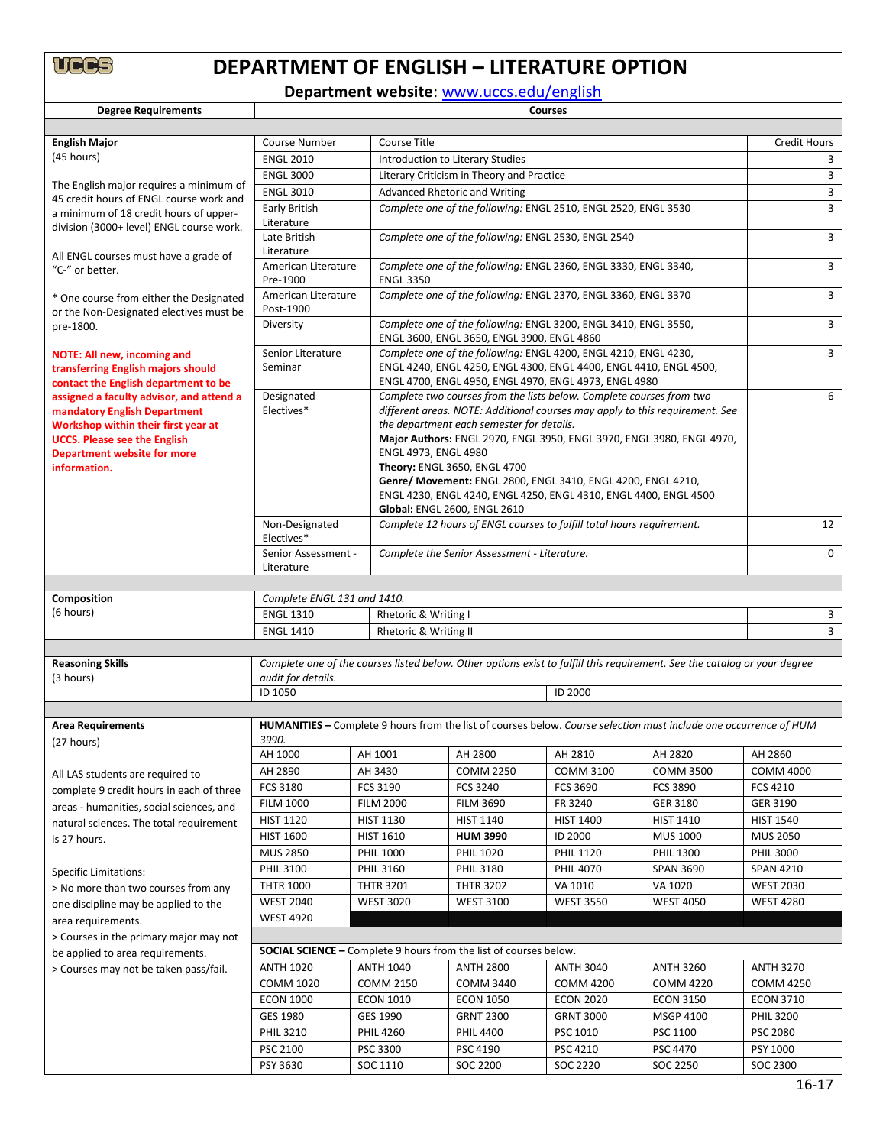# **DEPARTMENT OF ENGLISH – LITERATURE OPTION**

**Department website**: [www.uccs.edu/english](http://www.uccs.edu/english)

| <b>Degree Requirements</b>                                                                                                                             | <b>Courses</b>                                                                                                                                                                                                                |                                                                |                                                                                                                                                                                                                                                                            |                  |                     |                  |  |
|--------------------------------------------------------------------------------------------------------------------------------------------------------|-------------------------------------------------------------------------------------------------------------------------------------------------------------------------------------------------------------------------------|----------------------------------------------------------------|----------------------------------------------------------------------------------------------------------------------------------------------------------------------------------------------------------------------------------------------------------------------------|------------------|---------------------|------------------|--|
|                                                                                                                                                        |                                                                                                                                                                                                                               |                                                                |                                                                                                                                                                                                                                                                            |                  |                     |                  |  |
| <b>English Major</b>                                                                                                                                   | <b>Course Number</b><br>Course Title                                                                                                                                                                                          |                                                                |                                                                                                                                                                                                                                                                            |                  | <b>Credit Hours</b> |                  |  |
| (45 hours)                                                                                                                                             | <b>ENGL 2010</b>                                                                                                                                                                                                              |                                                                | Introduction to Literary Studies                                                                                                                                                                                                                                           |                  |                     | 3                |  |
|                                                                                                                                                        | <b>ENGL 3000</b>                                                                                                                                                                                                              |                                                                | Literary Criticism in Theory and Practice                                                                                                                                                                                                                                  |                  |                     |                  |  |
| The English major requires a minimum of<br>45 credit hours of ENGL course work and                                                                     | <b>ENGL 3010</b>                                                                                                                                                                                                              |                                                                | Advanced Rhetoric and Writing                                                                                                                                                                                                                                              |                  |                     | 3                |  |
| a minimum of 18 credit hours of upper-<br>division (3000+ level) ENGL course work.                                                                     | Early British<br>Literature                                                                                                                                                                                                   | Complete one of the following: ENGL 2510, ENGL 2520, ENGL 3530 |                                                                                                                                                                                                                                                                            |                  |                     | 3                |  |
| All ENGL courses must have a grade of                                                                                                                  | Late British<br>Literature                                                                                                                                                                                                    | Complete one of the following: ENGL 2530, ENGL 2540            |                                                                                                                                                                                                                                                                            |                  |                     | 3                |  |
| "C-" or better.                                                                                                                                        | Complete one of the following: ENGL 2360, ENGL 3330, ENGL 3340,                                                                                                                                                               | 3                                                              |                                                                                                                                                                                                                                                                            |                  |                     |                  |  |
| * One course from either the Designated                                                                                                                | Pre-1900<br>American Literature<br>Post-1900                                                                                                                                                                                  | <b>ENGL 3350</b>                                               | Complete one of the following: ENGL 2370, ENGL 3360, ENGL 3370                                                                                                                                                                                                             |                  |                     | 3                |  |
| or the Non-Designated electives must be<br>pre-1800.                                                                                                   | Diversity                                                                                                                                                                                                                     |                                                                | Complete one of the following: ENGL 3200, ENGL 3410, ENGL 3550,<br>ENGL 3600, ENGL 3650, ENGL 3900, ENGL 4860                                                                                                                                                              |                  |                     | 3                |  |
| <b>NOTE: All new, incoming and</b><br>transferring English majors should<br>contact the English department to be                                       | Complete one of the following: ENGL 4200, ENGL 4210, ENGL 4230,<br>Senior Literature<br>ENGL 4240, ENGL 4250, ENGL 4300, ENGL 4400, ENGL 4410, ENGL 4500,<br>Seminar<br>ENGL 4700, ENGL 4950, ENGL 4970, ENGL 4973, ENGL 4980 |                                                                |                                                                                                                                                                                                                                                                            |                  |                     | 3                |  |
| assigned a faculty advisor, and attend a<br>mandatory English Department<br>Workshop within their first year at<br><b>UCCS. Please see the English</b> | Designated<br>Electives*                                                                                                                                                                                                      |                                                                | Complete two courses from the lists below. Complete courses from two<br>different areas. NOTE: Additional courses may apply to this requirement. See<br>the department each semester for details.<br>Major Authors: ENGL 2970, ENGL 3950, ENGL 3970, ENGL 3980, ENGL 4970, |                  |                     |                  |  |
| <b>Department website for more</b><br>information.                                                                                                     | ENGL 4973, ENGL 4980<br>Theory: ENGL 3650, ENGL 4700<br>Genre/ Movement: ENGL 2800, ENGL 3410, ENGL 4200, ENGL 4210,<br>ENGL 4230, ENGL 4240, ENGL 4250, ENGL 4310, ENGL 4400, ENGL 4500<br>Global: ENGL 2600, ENGL 2610      |                                                                |                                                                                                                                                                                                                                                                            |                  |                     |                  |  |
|                                                                                                                                                        | Non-Designated<br>Electives*                                                                                                                                                                                                  |                                                                | Complete 12 hours of ENGL courses to fulfill total hours requirement.                                                                                                                                                                                                      |                  |                     |                  |  |
|                                                                                                                                                        | Senior Assessment -<br>Literature                                                                                                                                                                                             |                                                                | Complete the Senior Assessment - Literature.                                                                                                                                                                                                                               |                  |                     |                  |  |
|                                                                                                                                                        |                                                                                                                                                                                                                               |                                                                |                                                                                                                                                                                                                                                                            |                  |                     |                  |  |
| Composition                                                                                                                                            | Complete ENGL 131 and 1410.                                                                                                                                                                                                   |                                                                |                                                                                                                                                                                                                                                                            |                  |                     |                  |  |
| (6 hours)                                                                                                                                              | <b>ENGL 1310</b><br>Rhetoric & Writing I                                                                                                                                                                                      |                                                                |                                                                                                                                                                                                                                                                            |                  | 3                   |                  |  |
|                                                                                                                                                        | <b>ENGL 1410</b><br>Rhetoric & Writing II                                                                                                                                                                                     |                                                                |                                                                                                                                                                                                                                                                            |                  |                     | 3                |  |
|                                                                                                                                                        |                                                                                                                                                                                                                               |                                                                |                                                                                                                                                                                                                                                                            |                  |                     |                  |  |
| <b>Reasoning Skills</b><br>(3 hours)                                                                                                                   | Complete one of the courses listed below. Other options exist to fulfill this requirement. See the catalog or your degree<br>audit for details.                                                                               |                                                                |                                                                                                                                                                                                                                                                            |                  |                     |                  |  |
|                                                                                                                                                        | ID 1050                                                                                                                                                                                                                       |                                                                |                                                                                                                                                                                                                                                                            | ID 2000          |                     |                  |  |
|                                                                                                                                                        |                                                                                                                                                                                                                               |                                                                |                                                                                                                                                                                                                                                                            |                  |                     |                  |  |
| <b>Area Requirements</b><br>(27 hours)                                                                                                                 | <b>HUMANITIES</b> – Complete 9 hours from the list of courses below. Course selection must include one occurrence of HUM<br>3990.                                                                                             |                                                                |                                                                                                                                                                                                                                                                            |                  |                     |                  |  |
|                                                                                                                                                        | AH 1000                                                                                                                                                                                                                       | AH 1001                                                        | AH 2800                                                                                                                                                                                                                                                                    | AH 2810          | AH 2820             | AH 2860          |  |
| All LAS students are required to                                                                                                                       | AH 2890                                                                                                                                                                                                                       | AH 3430                                                        | <b>COMM 2250</b>                                                                                                                                                                                                                                                           | <b>COMM 3100</b> | <b>COMM 3500</b>    | <b>COMM 4000</b> |  |
| complete 9 credit hours in each of three                                                                                                               | <b>FCS 3180</b>                                                                                                                                                                                                               | <b>FCS 3190</b>                                                | FCS 3240                                                                                                                                                                                                                                                                   | <b>FCS 3690</b>  | <b>FCS 3890</b>     | FCS 4210         |  |
| areas - humanities, social sciences, and                                                                                                               | <b>FILM 1000</b>                                                                                                                                                                                                              | <b>FILM 2000</b>                                               | <b>FILM 3690</b>                                                                                                                                                                                                                                                           | FR 3240          | GER 3180            | GER 3190         |  |
| natural sciences. The total requirement                                                                                                                | <b>HIST 1120</b>                                                                                                                                                                                                              | <b>HIST 1130</b>                                               | <b>HIST 1140</b>                                                                                                                                                                                                                                                           | <b>HIST 1400</b> | <b>HIST 1410</b>    | <b>HIST 1540</b> |  |
| is 27 hours.                                                                                                                                           | <b>HIST 1600</b>                                                                                                                                                                                                              | <b>HIST 1610</b>                                               | <b>HUM 3990</b>                                                                                                                                                                                                                                                            | ID 2000          | <b>MUS 1000</b>     | <b>MUS 2050</b>  |  |
|                                                                                                                                                        | <b>MUS 2850</b>                                                                                                                                                                                                               | <b>PHIL 1000</b>                                               | <b>PHIL 1020</b>                                                                                                                                                                                                                                                           | <b>PHIL 1120</b> | <b>PHIL 1300</b>    | <b>PHIL 3000</b> |  |
| <b>Specific Limitations:</b>                                                                                                                           | <b>PHIL 3100</b>                                                                                                                                                                                                              | <b>PHIL 3160</b>                                               | PHIL 3180                                                                                                                                                                                                                                                                  | <b>PHIL 4070</b> | <b>SPAN 3690</b>    | <b>SPAN 4210</b> |  |
| > No more than two courses from any                                                                                                                    | <b>THTR 1000</b>                                                                                                                                                                                                              | <b>THTR 3201</b>                                               | <b>THTR 3202</b>                                                                                                                                                                                                                                                           | VA 1010          | VA 1020             | <b>WEST 2030</b> |  |
| one discipline may be applied to the                                                                                                                   | <b>WEST 2040</b>                                                                                                                                                                                                              | <b>WEST 3020</b>                                               | <b>WEST 3100</b>                                                                                                                                                                                                                                                           | <b>WEST 3550</b> | <b>WEST 4050</b>    | <b>WEST 4280</b> |  |
| area requirements.                                                                                                                                     | <b>WEST 4920</b>                                                                                                                                                                                                              |                                                                |                                                                                                                                                                                                                                                                            |                  |                     |                  |  |
| > Courses in the primary major may not                                                                                                                 |                                                                                                                                                                                                                               |                                                                |                                                                                                                                                                                                                                                                            |                  |                     |                  |  |
| be applied to area requirements.                                                                                                                       | <b>SOCIAL SCIENCE - Complete 9 hours from the list of courses below.</b>                                                                                                                                                      |                                                                |                                                                                                                                                                                                                                                                            |                  |                     |                  |  |
| > Courses may not be taken pass/fail.                                                                                                                  | <b>ANTH 1020</b>                                                                                                                                                                                                              | <b>ANTH 1040</b>                                               | <b>ANTH 2800</b>                                                                                                                                                                                                                                                           | <b>ANTH 3040</b> | <b>ANTH 3260</b>    | <b>ANTH 3270</b> |  |
|                                                                                                                                                        | <b>COMM 1020</b>                                                                                                                                                                                                              | <b>COMM 2150</b>                                               | <b>COMM 3440</b>                                                                                                                                                                                                                                                           | <b>COMM 4200</b> | <b>COMM 4220</b>    | <b>COMM 4250</b> |  |
|                                                                                                                                                        | <b>ECON 1000</b>                                                                                                                                                                                                              | <b>ECON 1010</b>                                               | <b>ECON 1050</b>                                                                                                                                                                                                                                                           | <b>ECON 2020</b> | <b>ECON 3150</b>    | <b>ECON 3710</b> |  |
|                                                                                                                                                        | GES 1980                                                                                                                                                                                                                      | GES 1990                                                       | <b>GRNT 2300</b>                                                                                                                                                                                                                                                           | <b>GRNT 3000</b> | MSGP 4100           | <b>PHIL 3200</b> |  |
|                                                                                                                                                        | <b>PHIL 3210</b>                                                                                                                                                                                                              | <b>PHIL 4260</b>                                               | <b>PHIL 4400</b>                                                                                                                                                                                                                                                           | PSC 1010         | PSC 1100            | <b>PSC 2080</b>  |  |
|                                                                                                                                                        | PSC 2100                                                                                                                                                                                                                      | PSC 3300                                                       | PSC 4190                                                                                                                                                                                                                                                                   | PSC 4210         | PSC 4470            | PSY 1000         |  |
|                                                                                                                                                        | PSY 3630                                                                                                                                                                                                                      | SOC 1110                                                       | SOC 2200                                                                                                                                                                                                                                                                   | SOC 2220         | SOC 2250            | SOC 2300         |  |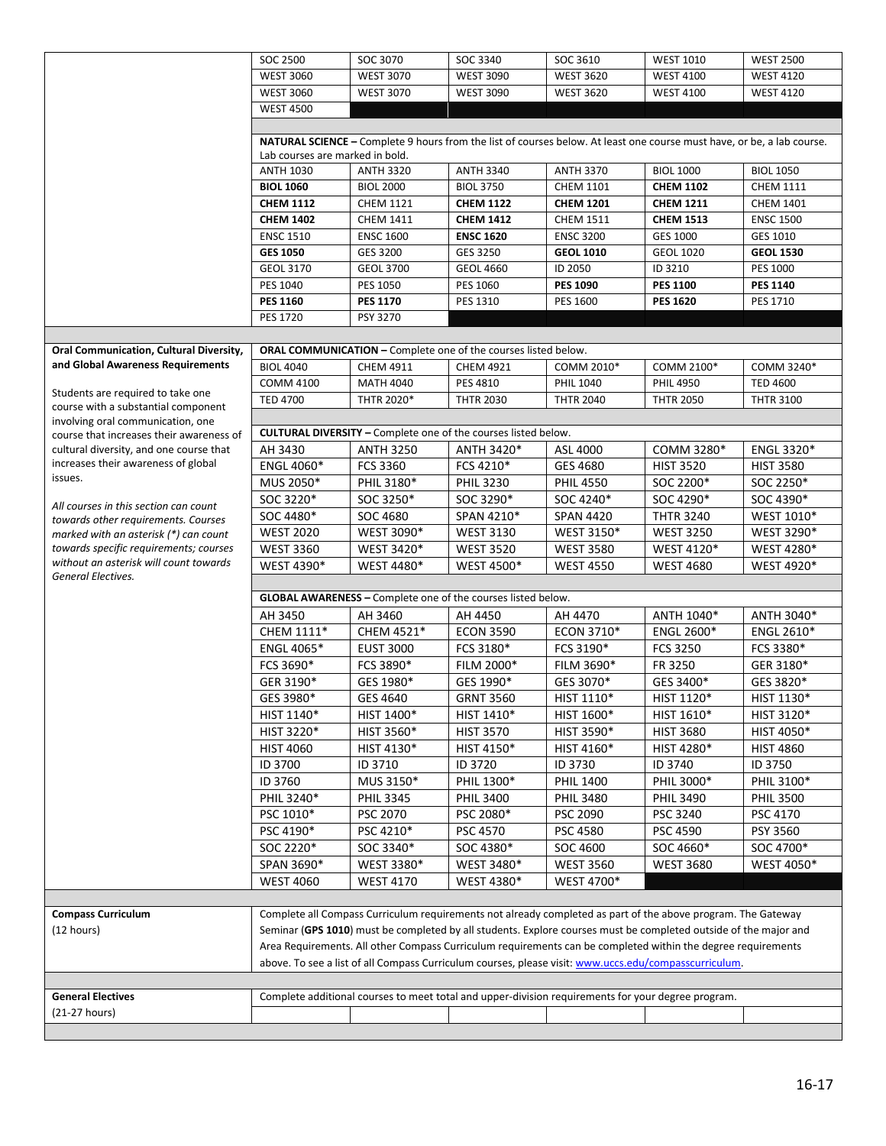|                                                                              | SOC 2500                                                                                                                                                                                                                                                                                                                                  | SOC 3070                                                              | SOC 3340          | SOC 3610         | <b>WEST 1010</b>                                                                                             | <b>WEST 2500</b>             |  |
|------------------------------------------------------------------------------|-------------------------------------------------------------------------------------------------------------------------------------------------------------------------------------------------------------------------------------------------------------------------------------------------------------------------------------------|-----------------------------------------------------------------------|-------------------|------------------|--------------------------------------------------------------------------------------------------------------|------------------------------|--|
|                                                                              | <b>WEST 3060</b>                                                                                                                                                                                                                                                                                                                          | <b>WEST 3070</b>                                                      | <b>WEST 3090</b>  | <b>WEST 3620</b> | <b>WEST 4100</b>                                                                                             | <b>WEST 4120</b>             |  |
|                                                                              | <b>WEST 3060</b>                                                                                                                                                                                                                                                                                                                          | <b>WEST 3070</b>                                                      | <b>WEST 3090</b>  | <b>WEST 3620</b> | <b>WEST 4100</b>                                                                                             | <b>WEST 4120</b>             |  |
|                                                                              | <b>WEST 4500</b>                                                                                                                                                                                                                                                                                                                          |                                                                       |                   |                  |                                                                                                              |                              |  |
|                                                                              |                                                                                                                                                                                                                                                                                                                                           |                                                                       |                   |                  |                                                                                                              |                              |  |
|                                                                              | NATURAL SCIENCE - Complete 9 hours from the list of courses below. At least one course must have, or be, a lab course.                                                                                                                                                                                                                    |                                                                       |                   |                  |                                                                                                              |                              |  |
|                                                                              | Lab courses are marked in bold.                                                                                                                                                                                                                                                                                                           |                                                                       |                   |                  |                                                                                                              |                              |  |
|                                                                              | <b>ANTH 1030</b>                                                                                                                                                                                                                                                                                                                          | <b>ANTH 3320</b>                                                      | <b>ANTH 3340</b>  | <b>ANTH 3370</b> | <b>BIOL 1000</b>                                                                                             | <b>BIOL 1050</b>             |  |
|                                                                              | <b>BIOL 1060</b>                                                                                                                                                                                                                                                                                                                          | <b>BIOL 2000</b>                                                      | <b>BIOL 3750</b>  | <b>CHEM 1101</b> | <b>CHEM 1102</b>                                                                                             | <b>CHEM 1111</b>             |  |
|                                                                              | <b>CHEM 1112</b>                                                                                                                                                                                                                                                                                                                          | <b>CHEM 1121</b>                                                      | <b>CHEM 1122</b>  | <b>CHEM 1201</b> | <b>CHEM 1211</b>                                                                                             | <b>CHEM 1401</b>             |  |
|                                                                              | <b>CHEM 1402</b>                                                                                                                                                                                                                                                                                                                          | <b>CHEM 1411</b>                                                      | <b>CHEM 1412</b>  | <b>CHEM 1511</b> | <b>CHEM 1513</b><br><b>GES 1000</b>                                                                          | <b>ENSC 1500</b><br>GES 1010 |  |
|                                                                              | <b>ENSC 1510</b>                                                                                                                                                                                                                                                                                                                          | <b>ENSC 1600</b>                                                      | <b>ENSC 1620</b>  | <b>ENSC 3200</b> |                                                                                                              |                              |  |
|                                                                              | <b>GES 1050</b>                                                                                                                                                                                                                                                                                                                           | GES 3200                                                              | GES 3250          | <b>GEOL 1010</b> | <b>GEOL 1020</b>                                                                                             | <b>GEOL 1530</b>             |  |
|                                                                              | <b>GEOL 3170</b>                                                                                                                                                                                                                                                                                                                          | <b>GEOL 3700</b>                                                      | <b>GEOL 4660</b>  | ID 2050          | ID 3210                                                                                                      | <b>PES 1000</b>              |  |
|                                                                              | PES 1040                                                                                                                                                                                                                                                                                                                                  | PES 1050                                                              | PES 1060          | <b>PES 1090</b>  | <b>PES 1100</b>                                                                                              | <b>PES 1140</b>              |  |
|                                                                              | <b>PES 1160</b>                                                                                                                                                                                                                                                                                                                           | <b>PES 1170</b>                                                       | PES 1310          | PES 1600         | <b>PES 1620</b>                                                                                              | PES 1710                     |  |
|                                                                              | <b>PES 1720</b>                                                                                                                                                                                                                                                                                                                           | PSY 3270                                                              |                   |                  |                                                                                                              |                              |  |
|                                                                              |                                                                                                                                                                                                                                                                                                                                           |                                                                       |                   |                  |                                                                                                              |                              |  |
| Oral Communication, Cultural Diversity,<br>and Global Awareness Requirements |                                                                                                                                                                                                                                                                                                                                           | ORAL COMMUNICATION - Complete one of the courses listed below.        |                   |                  |                                                                                                              |                              |  |
|                                                                              | <b>BIOL 4040</b>                                                                                                                                                                                                                                                                                                                          | CHEM 4911                                                             | <b>CHEM 4921</b>  | COMM 2010*       | COMM 2100*                                                                                                   | COMM 3240*                   |  |
| Students are required to take one                                            | <b>COMM 4100</b>                                                                                                                                                                                                                                                                                                                          | <b>MATH 4040</b>                                                      | PES 4810          | <b>PHIL 1040</b> | <b>PHIL 4950</b>                                                                                             | <b>TED 4600</b>              |  |
| course with a substantial component                                          | <b>TED 4700</b>                                                                                                                                                                                                                                                                                                                           | THTR 2020*                                                            | <b>THTR 2030</b>  | <b>THTR 2040</b> | <b>THTR 2050</b>                                                                                             | <b>THTR 3100</b>             |  |
| involving oral communication, one                                            |                                                                                                                                                                                                                                                                                                                                           |                                                                       |                   |                  |                                                                                                              |                              |  |
| course that increases their awareness of                                     |                                                                                                                                                                                                                                                                                                                                           | <b>CULTURAL DIVERSITY - Complete one of the courses listed below.</b> |                   |                  |                                                                                                              |                              |  |
| cultural diversity, and one course that                                      | AH 3430                                                                                                                                                                                                                                                                                                                                   | <b>ANTH 3250</b>                                                      | ANTH 3420*        | ASL 4000         | COMM 3280*                                                                                                   | <b>ENGL 3320*</b>            |  |
| increases their awareness of global<br>issues.                               | ENGL 4060*                                                                                                                                                                                                                                                                                                                                | FCS 3360                                                              | FCS 4210*         | GES 4680         | <b>HIST 3520</b>                                                                                             | <b>HIST 3580</b>             |  |
|                                                                              | MUS 2050*                                                                                                                                                                                                                                                                                                                                 | PHIL 3180*                                                            | <b>PHIL 3230</b>  | <b>PHIL 4550</b> | SOC 2200*                                                                                                    | SOC 2250*                    |  |
| All courses in this section can count                                        | SOC 3220*                                                                                                                                                                                                                                                                                                                                 | SOC 3250*                                                             | SOC 3290*         | SOC 4240*        | SOC 4290*                                                                                                    | SOC 4390*                    |  |
| towards other requirements. Courses                                          | SOC 4480*                                                                                                                                                                                                                                                                                                                                 | SOC 4680                                                              | SPAN 4210*        | <b>SPAN 4420</b> | <b>THTR 3240</b>                                                                                             | WEST 1010*                   |  |
| marked with an asterisk (*) can count                                        | <b>WEST 2020</b>                                                                                                                                                                                                                                                                                                                          | WEST 3090*                                                            | <b>WEST 3130</b>  | WEST 3150*       | <b>WEST 3250</b>                                                                                             | WEST 3290*                   |  |
| towards specific requirements; courses                                       | <b>WEST 3360</b>                                                                                                                                                                                                                                                                                                                          | WEST 3420*                                                            | <b>WEST 3520</b>  | <b>WEST 3580</b> | WEST 4120*                                                                                                   | WEST 4280*                   |  |
| without an asterisk will count towards                                       | WEST 4390*                                                                                                                                                                                                                                                                                                                                | WEST 4480*                                                            | <b>WEST 4500*</b> | <b>WEST 4550</b> | <b>WEST 4680</b>                                                                                             | WEST 4920*                   |  |
| General Electives.                                                           |                                                                                                                                                                                                                                                                                                                                           |                                                                       |                   |                  |                                                                                                              |                              |  |
|                                                                              |                                                                                                                                                                                                                                                                                                                                           | GLOBAL AWARENESS - Complete one of the courses listed below.          |                   |                  |                                                                                                              |                              |  |
|                                                                              | AH 3450                                                                                                                                                                                                                                                                                                                                   | AH 3460                                                               | AH 4450           | AH 4470          | ANTH 1040*                                                                                                   | ANTH 3040*                   |  |
|                                                                              | CHEM 1111*                                                                                                                                                                                                                                                                                                                                | CHEM 4521*                                                            | <b>ECON 3590</b>  | ECON 3710*       | <b>ENGL 2600*</b>                                                                                            | ENGL 2610*                   |  |
|                                                                              | ENGL 4065*                                                                                                                                                                                                                                                                                                                                | <b>EUST 3000</b>                                                      | FCS 3180*         | FCS 3190*        | <b>FCS 3250</b>                                                                                              | FCS 3380*                    |  |
|                                                                              | FCS 3690*                                                                                                                                                                                                                                                                                                                                 | FCS 3890*                                                             | FILM 2000*        | FILM 3690*       | FR 3250                                                                                                      | GER 3180*                    |  |
|                                                                              | GER 3190*                                                                                                                                                                                                                                                                                                                                 | GES 1980*                                                             | GES 1990*         | GES 3070*        | GES 3400*                                                                                                    | GES 3820*                    |  |
|                                                                              | GES 3980*                                                                                                                                                                                                                                                                                                                                 | GES 4640                                                              | <b>GRNT 3560</b>  | HIST 1110*       | HIST 1120*                                                                                                   | HIST 1130*                   |  |
|                                                                              | HIST 1140*                                                                                                                                                                                                                                                                                                                                | HIST 1400*                                                            | HIST 1410*        | HIST 1600*       | HIST 1610*                                                                                                   | HIST 3120*                   |  |
|                                                                              | HIST 3220*                                                                                                                                                                                                                                                                                                                                | HIST 3560*                                                            | <b>HIST 3570</b>  | HIST 3590*       | <b>HIST 3680</b>                                                                                             | HIST 4050*                   |  |
|                                                                              | <b>HIST 4060</b>                                                                                                                                                                                                                                                                                                                          | HIST 4130*                                                            | HIST 4150*        | HIST 4160*       | HIST 4280*                                                                                                   | <b>HIST 4860</b>             |  |
|                                                                              | ID 3700                                                                                                                                                                                                                                                                                                                                   | ID 3710                                                               | ID 3720           | ID 3730          | ID 3740                                                                                                      | ID 3750                      |  |
|                                                                              | ID 3760                                                                                                                                                                                                                                                                                                                                   | MUS 3150*                                                             | PHIL 1300*        | <b>PHIL 1400</b> | PHIL 3000*                                                                                                   | PHIL 3100*                   |  |
|                                                                              | PHIL 3240*                                                                                                                                                                                                                                                                                                                                | <b>PHIL 3345</b>                                                      | <b>PHIL 3400</b>  | <b>PHIL 3480</b> | <b>PHIL 3490</b>                                                                                             | <b>PHIL 3500</b>             |  |
|                                                                              | PSC 1010*                                                                                                                                                                                                                                                                                                                                 | PSC 2070                                                              | PSC 2080*         | PSC 2090         | PSC 3240                                                                                                     | PSC 4170                     |  |
|                                                                              | PSC 4190*                                                                                                                                                                                                                                                                                                                                 | PSC 4210*                                                             | PSC 4570          | PSC 4580         | PSC 4590                                                                                                     | PSY 3560                     |  |
|                                                                              | SOC 2220*                                                                                                                                                                                                                                                                                                                                 | SOC 3340*                                                             | SOC 4380*         | SOC 4600         | SOC 4660*                                                                                                    | SOC 4700*                    |  |
|                                                                              | SPAN 3690*                                                                                                                                                                                                                                                                                                                                | WEST 3380*                                                            | WEST 3480*        | <b>WEST 3560</b> | <b>WEST 3680</b>                                                                                             | WEST 4050*                   |  |
|                                                                              | <b>WEST 4060</b>                                                                                                                                                                                                                                                                                                                          | <b>WEST 4170</b>                                                      | WEST 4380*        | WEST 4700*       |                                                                                                              |                              |  |
|                                                                              |                                                                                                                                                                                                                                                                                                                                           |                                                                       |                   |                  |                                                                                                              |                              |  |
| <b>Compass Curriculum</b>                                                    |                                                                                                                                                                                                                                                                                                                                           |                                                                       |                   |                  | Complete all Compass Curriculum requirements not already completed as part of the above program. The Gateway |                              |  |
| (12 hours)                                                                   |                                                                                                                                                                                                                                                                                                                                           |                                                                       |                   |                  |                                                                                                              |                              |  |
|                                                                              | Seminar (GPS 1010) must be completed by all students. Explore courses must be completed outside of the major and<br>Area Requirements. All other Compass Curriculum requirements can be completed within the degree requirements<br>above. To see a list of all Compass Curriculum courses, please visit: www.uccs.edu/compasscurriculum. |                                                                       |                   |                  |                                                                                                              |                              |  |
|                                                                              |                                                                                                                                                                                                                                                                                                                                           |                                                                       |                   |                  |                                                                                                              |                              |  |
|                                                                              |                                                                                                                                                                                                                                                                                                                                           |                                                                       |                   |                  |                                                                                                              |                              |  |
| <b>General Electives</b>                                                     | Complete additional courses to meet total and upper-division requirements for your degree program.                                                                                                                                                                                                                                        |                                                                       |                   |                  |                                                                                                              |                              |  |
| (21-27 hours)                                                                |                                                                                                                                                                                                                                                                                                                                           |                                                                       |                   |                  |                                                                                                              |                              |  |
|                                                                              |                                                                                                                                                                                                                                                                                                                                           |                                                                       |                   |                  |                                                                                                              |                              |  |
|                                                                              |                                                                                                                                                                                                                                                                                                                                           |                                                                       |                   |                  |                                                                                                              |                              |  |